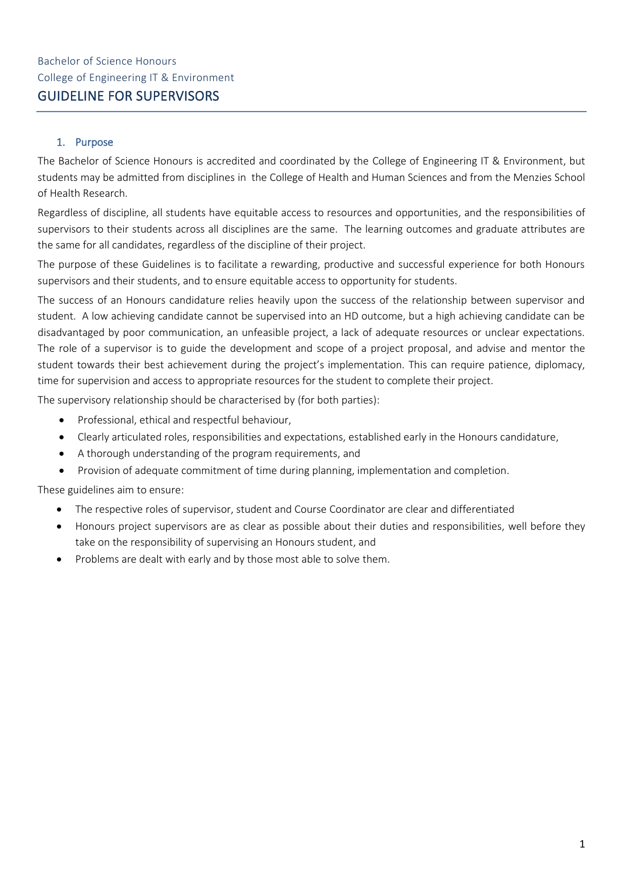# 1. Purpose

The Bachelor of Science Honours is accredited and coordinated by the College of Engineering IT & Environment, but students may be admitted from disciplines in the College of Health and Human Sciences and from the Menzies School of Health Research.

Regardless of discipline, all students have equitable access to resources and opportunities, and the responsibilities of supervisors to their students across all disciplines are the same. The learning outcomes and graduate attributes are the same for all candidates, regardless of the discipline of their project.

The purpose of these Guidelines is to facilitate a rewarding, productive and successful experience for both Honours supervisors and their students, and to ensure equitable access to opportunity for students.

The success of an Honours candidature relies heavily upon the success of the relationship between supervisor and student. A low achieving candidate cannot be supervised into an HD outcome, but a high achieving candidate can be disadvantaged by poor communication, an unfeasible project, a lack of adequate resources or unclear expectations. The role of a supervisor is to guide the development and scope of a project proposal, and advise and mentor the student towards their best achievement during the project's implementation. This can require patience, diplomacy, time for supervision and access to appropriate resources for the student to complete their project.

The supervisory relationship should be characterised by (for both parties):

- Professional, ethical and respectful behaviour,
- Clearly articulated roles, responsibilities and expectations, established early in the Honours candidature,
- A thorough understanding of the program requirements, and
- Provision of adequate commitment of time during planning, implementation and completion.

These guidelines aim to ensure:

- The respective roles of supervisor, student and Course Coordinator are clear and differentiated
- Honours project supervisors are as clear as possible about their duties and responsibilities, well before they take on the responsibility of supervising an Honours student, and
- Problems are dealt with early and by those most able to solve them.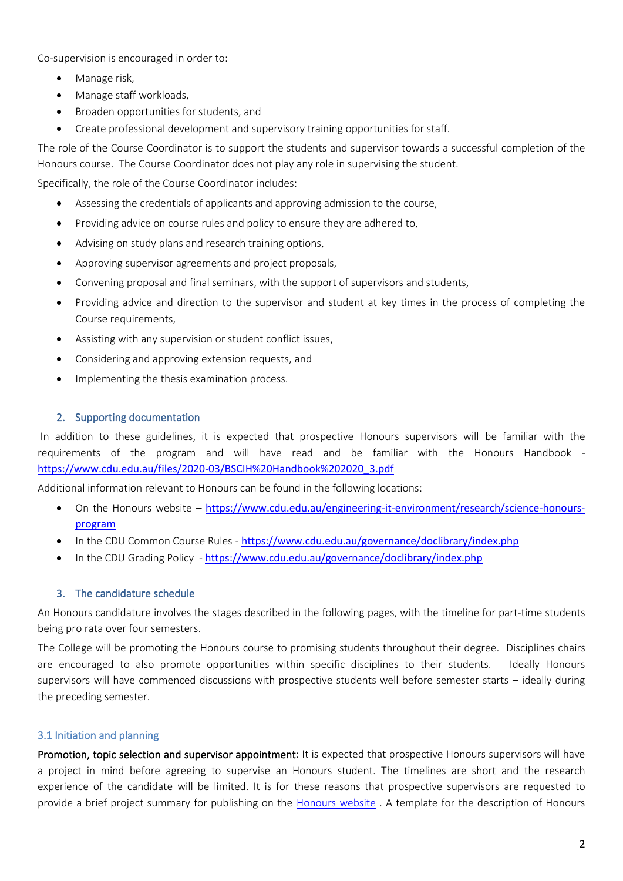Co-supervision is encouraged in order to:

- Manage risk,
- Manage staff workloads,
- Broaden opportunities for students, and
- Create professional development and supervisory training opportunities for staff.

The role of the Course Coordinator is to support the students and supervisor towards a successful completion of the Honours course. The Course Coordinator does not play any role in supervising the student.

Specifically, the role of the Course Coordinator includes:

- Assessing the credentials of applicants and approving admission to the course,
- Providing advice on course rules and policy to ensure they are adhered to,
- Advising on study plans and research training options,
- Approving supervisor agreements and project proposals,
- Convening proposal and final seminars, with the support of supervisors and students,
- Providing advice and direction to the supervisor and student at key times in the process of completing the Course requirements,
- Assisting with any supervision or student conflict issues,
- Considering and approving extension requests, and
- Implementing the thesis examination process.

#### 2. Supporting documentation

In addition to these guidelines, it is expected that prospective Honours supervisors will be familiar with the requirements of the program and will have read and be familiar with the Honours Handbook [https://www.cdu.edu.au/files/2020-03/BSCIH%20Handbook%202020\\_3.pdf](https://www.cdu.edu.au/files/2020-03/BSCIH%20Handbook%202020_3.pdf)

Additional information relevant to Honours can be found in the following locations:

- On the Honours website [https://www.cdu.edu.au/engineering-it-environment/research/science-honours](https://www.cdu.edu.au/engineering-it-environment/research/science-honours-program)[program](https://www.cdu.edu.au/engineering-it-environment/research/science-honours-program)
- In the CDU Common Course Rules <https://www.cdu.edu.au/governance/doclibrary/index.php>
- In the CDU Grading Policy <https://www.cdu.edu.au/governance/doclibrary/index.php>

#### 3. The candidature schedule

An Honours candidature involves the stages described in the following pages, with the timeline for part-time students being pro rata over four semesters.

The College will be promoting the Honours course to promising students throughout their degree. Disciplines chairs are encouraged to also promote opportunities within specific disciplines to their students. Ideally Honours supervisors will have commenced discussions with prospective students well before semester starts – ideally during the preceding semester.

#### 3.1 Initiation and planning

Promotion, topic selection and supervisor appointment: It is expected that prospective Honours supervisors will have a project in mind before agreeing to supervise an Honours student. The timelines are short and the research experience of the candidate will be limited. It is for these reasons that prospective supervisors are requested to provide a brief project summary for publishing on the [Honours website](https://www.cdu.edu.au/engineering-it-environment/research/science-honours-program) . A template for the description of Honours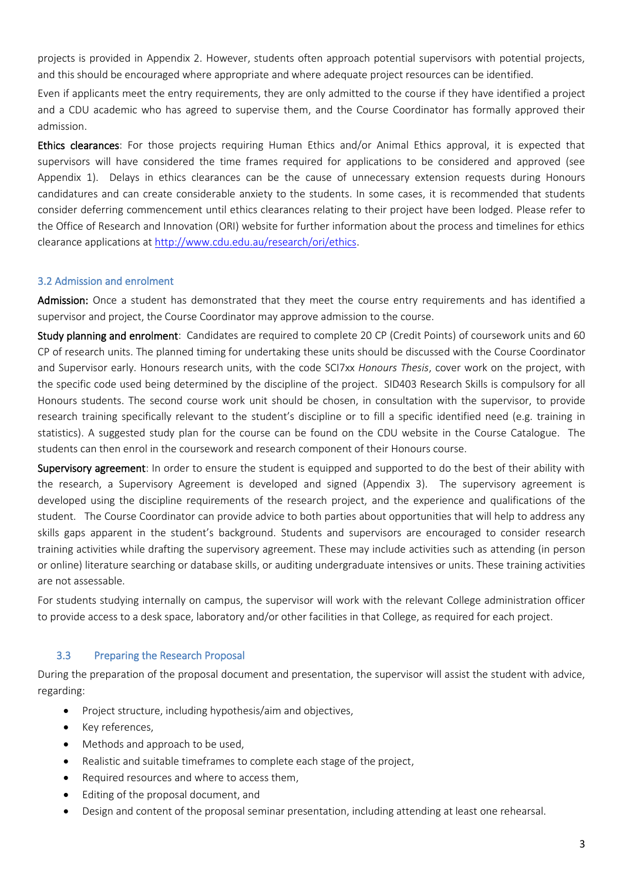projects is provided in Appendix 2. However, students often approach potential supervisors with potential projects, and this should be encouraged where appropriate and where adequate project resources can be identified.

Even if applicants meet the entry requirements, they are only admitted to the course if they have identified a project and a CDU academic who has agreed to supervise them, and the Course Coordinator has formally approved their admission.

Ethics clearances: For those projects requiring Human Ethics and/or Animal Ethics approval, it is expected that supervisors will have considered the time frames required for applications to be considered and approved (see Appendix 1). Delays in ethics clearances can be the cause of unnecessary extension requests during Honours candidatures and can create considerable anxiety to the students. In some cases, it is recommended that students consider deferring commencement until ethics clearances relating to their project have been lodged. Please refer to the Office of Research and Innovation (ORI) website for further information about the process and timelines for ethics clearance applications at [http://www.cdu.edu.au/research/ori/ethics.](http://www.cdu.edu.au/research/ori/ethics)

# 3.2 Admission and enrolment

Admission: Once a student has demonstrated that they meet the course entry requirements and has identified a supervisor and project, the Course Coordinator may approve admission to the course.

Study planning and enrolment: Candidates are required to complete 20 CP (Credit Points) of coursework units and 60 CP of research units. The planned timing for undertaking these units should be discussed with the Course Coordinator and Supervisor early. Honours research units, with the code SCI7xx *Honours Thesis*, cover work on the project, with the specific code used being determined by the discipline of the project. SID403 Research Skills is compulsory for all Honours students. The second course work unit should be chosen, in consultation with the supervisor, to provide research training specifically relevant to the student's discipline or to fill a specific identified need (e.g. training in statistics). A suggested study plan for the course can be found on the CDU website in the Course Catalogue. The students can then enrol in the coursework and research component of their Honours course.

Supervisory agreement: In order to ensure the student is equipped and supported to do the best of their ability with the research, a Supervisory Agreement is developed and signed (Appendix 3). The supervisory agreement is developed using the discipline requirements of the research project, and the experience and qualifications of the student. The Course Coordinator can provide advice to both parties about opportunities that will help to address any skills gaps apparent in the student's background. Students and supervisors are encouraged to consider research training activities while drafting the supervisory agreement. These may include activities such as attending (in person or online) literature searching or database skills, or auditing undergraduate intensives or units. These training activities are not assessable.

For students studying internally on campus, the supervisor will work with the relevant College administration officer to provide access to a desk space, laboratory and/or other facilities in that College, as required for each project.

#### 3.3 Preparing the Research Proposal

During the preparation of the proposal document and presentation, the supervisor will assist the student with advice, regarding:

- Project structure, including hypothesis/aim and objectives,
- Key references,
- Methods and approach to be used,
- Realistic and suitable timeframes to complete each stage of the project,
- Required resources and where to access them,
- Editing of the proposal document, and
- Design and content of the proposal seminar presentation, including attending at least one rehearsal.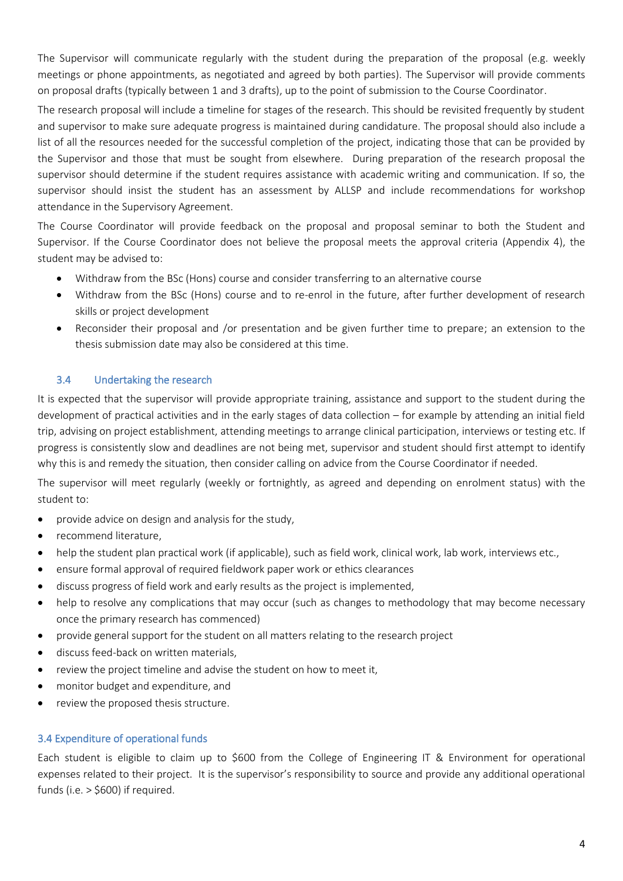The Supervisor will communicate regularly with the student during the preparation of the proposal (e.g. weekly meetings or phone appointments, as negotiated and agreed by both parties). The Supervisor will provide comments on proposal drafts (typically between 1 and 3 drafts), up to the point of submission to the Course Coordinator.

The research proposal will include a timeline for stages of the research. This should be revisited frequently by student and supervisor to make sure adequate progress is maintained during candidature. The proposal should also include a list of all the resources needed for the successful completion of the project, indicating those that can be provided by the Supervisor and those that must be sought from elsewhere. During preparation of the research proposal the supervisor should determine if the student requires assistance with academic writing and communication. If so, the supervisor should insist the student has an assessment by ALLSP and include recommendations for workshop attendance in the Supervisory Agreement.

The Course Coordinator will provide feedback on the proposal and proposal seminar to both the Student and Supervisor. If the Course Coordinator does not believe the proposal meets the approval criteria (Appendix 4), the student may be advised to:

- Withdraw from the BSc (Hons) course and consider transferring to an alternative course
- Withdraw from the BSc (Hons) course and to re-enrol in the future, after further development of research skills or project development
- Reconsider their proposal and /or presentation and be given further time to prepare; an extension to the thesis submission date may also be considered at this time.

# 3.4 Undertaking the research

It is expected that the supervisor will provide appropriate training, assistance and support to the student during the development of practical activities and in the early stages of data collection – for example by attending an initial field trip, advising on project establishment, attending meetings to arrange clinical participation, interviews or testing etc. If progress is consistently slow and deadlines are not being met, supervisor and student should first attempt to identify why this is and remedy the situation, then consider calling on advice from the Course Coordinator if needed.

The supervisor will meet regularly (weekly or fortnightly, as agreed and depending on enrolment status) with the student to:

- provide advice on design and analysis for the study,
- recommend literature,
- help the student plan practical work (if applicable), such as field work, clinical work, lab work, interviews etc.,
- ensure formal approval of required fieldwork paper work or ethics clearances
- discuss progress of field work and early results as the project is implemented,
- help to resolve any complications that may occur (such as changes to methodology that may become necessary once the primary research has commenced)
- provide general support for the student on all matters relating to the research project
- discuss feed-back on written materials,
- review the project timeline and advise the student on how to meet it,
- monitor budget and expenditure, and
- review the proposed thesis structure.

# 3.4 Expenditure of operational funds

Each student is eligible to claim up to \$600 from the College of Engineering IT & Environment for operational expenses related to their project. It is the supervisor's responsibility to source and provide any additional operational funds (i.e. > \$600) if required.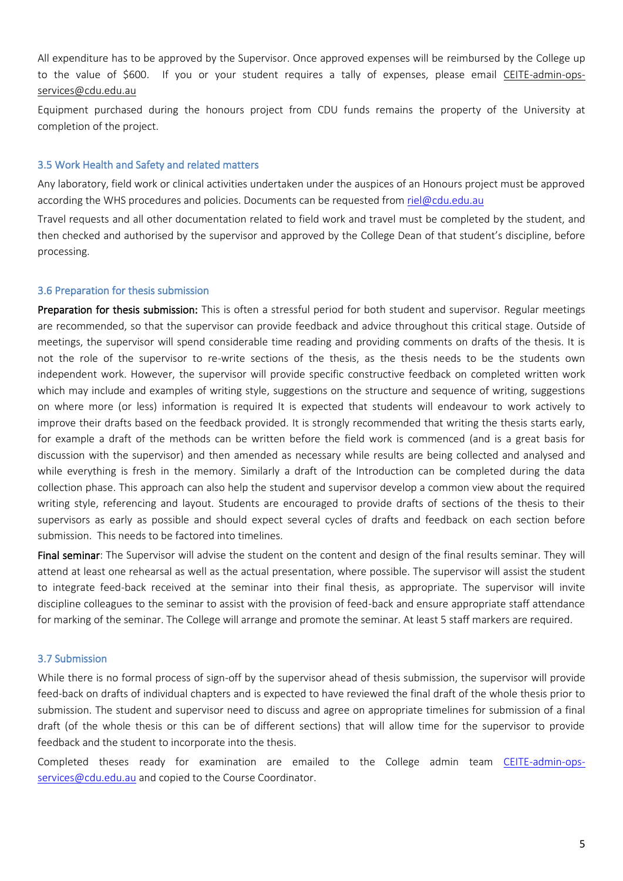All expenditure has to be approved by the Supervisor. Once approved expenses will be reimbursed by the College up to the value of \$600. If you or your student requires a tally of expenses, please email [CEITE-admin-ops](mailto:CEITE-admin-ops-services@cdu.edu.au)[services@cdu.edu.au](mailto:CEITE-admin-ops-services@cdu.edu.au)

Equipment purchased during the honours project from CDU funds remains the property of the University at completion of the project.

#### 3.5 Work Health and Safety and related matters

Any laboratory, field work or clinical activities undertaken under the auspices of an Honours project must be approved according the WHS procedures and policies. Documents can be requested from [riel@cdu.edu.au](mailto:riel@cdu.edu.au)

Travel requests and all other documentation related to field work and travel must be completed by the student, and then checked and authorised by the supervisor and approved by the College Dean of that student's discipline, before processing.

#### 3.6 Preparation for thesis submission

Preparation for thesis submission: This is often a stressful period for both student and supervisor. Regular meetings are recommended, so that the supervisor can provide feedback and advice throughout this critical stage. Outside of meetings, the supervisor will spend considerable time reading and providing comments on drafts of the thesis. It is not the role of the supervisor to re-write sections of the thesis, as the thesis needs to be the students own independent work. However, the supervisor will provide specific constructive feedback on completed written work which may include and examples of writing style, suggestions on the structure and sequence of writing, suggestions on where more (or less) information is required It is expected that students will endeavour to work actively to improve their drafts based on the feedback provided. It is strongly recommended that writing the thesis starts early, for example a draft of the methods can be written before the field work is commenced (and is a great basis for discussion with the supervisor) and then amended as necessary while results are being collected and analysed and while everything is fresh in the memory. Similarly a draft of the Introduction can be completed during the data collection phase. This approach can also help the student and supervisor develop a common view about the required writing style, referencing and layout. Students are encouraged to provide drafts of sections of the thesis to their supervisors as early as possible and should expect several cycles of drafts and feedback on each section before submission. This needs to be factored into timelines.

Final seminar: The Supervisor will advise the student on the content and design of the final results seminar. They will attend at least one rehearsal as well as the actual presentation, where possible. The supervisor will assist the student to integrate feed-back received at the seminar into their final thesis, as appropriate. The supervisor will invite discipline colleagues to the seminar to assist with the provision of feed-back and ensure appropriate staff attendance for marking of the seminar. The College will arrange and promote the seminar. At least 5 staff markers are required.

## 3.7 Submission

While there is no formal process of sign-off by the supervisor ahead of thesis submission, the supervisor will provide feed-back on drafts of individual chapters and is expected to have reviewed the final draft of the whole thesis prior to submission. The student and supervisor need to discuss and agree on appropriate timelines for submission of a final draft (of the whole thesis or this can be of different sections) that will allow time for the supervisor to provide feedback and the student to incorporate into the thesis.

Completed theses ready for examination are emailed to the College admin team [CEITE-admin-ops](mailto:CEITE-admin-ops-services@cdu.edu.au)[services@cdu.edu.au](mailto:CEITE-admin-ops-services@cdu.edu.au) and copied to the Course Coordinator.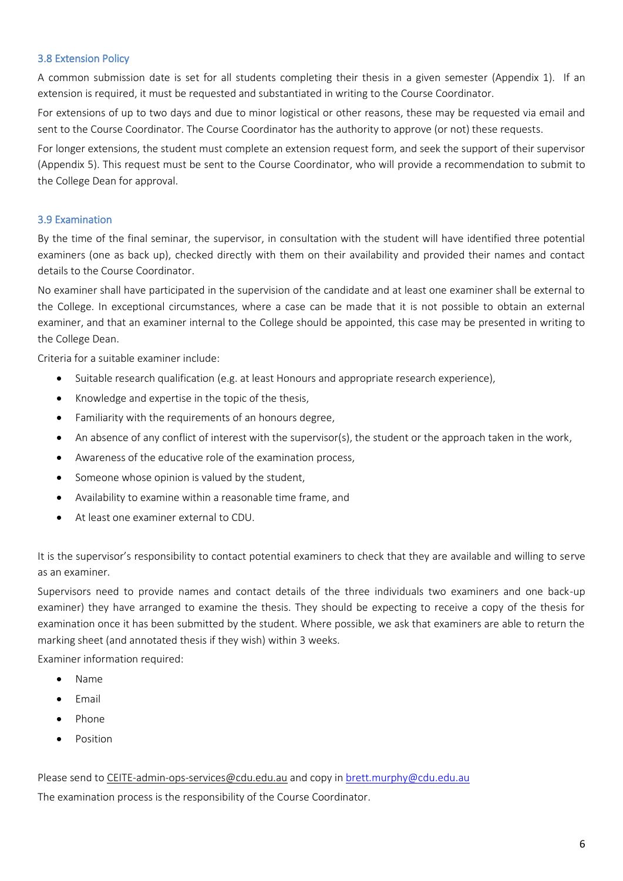# 3.8 Extension Policy

A common submission date is set for all students completing their thesis in a given semester (Appendix 1). If an extension is required, it must be requested and substantiated in writing to the Course Coordinator.

For extensions of up to two days and due to minor logistical or other reasons, these may be requested via email and sent to the Course Coordinator. The Course Coordinator has the authority to approve (or not) these requests.

For longer extensions, the student must complete an extension request form, and seek the support of their supervisor (Appendix 5). This request must be sent to the Course Coordinator, who will provide a recommendation to submit to the College Dean for approval.

## 3.9 Examination

By the time of the final seminar, the supervisor, in consultation with the student will have identified three potential examiners (one as back up), checked directly with them on their availability and provided their names and contact details to the Course Coordinator.

No examiner shall have participated in the supervision of the candidate and at least one examiner shall be external to the College. In exceptional circumstances, where a case can be made that it is not possible to obtain an external examiner, and that an examiner internal to the College should be appointed, this case may be presented in writing to the College Dean.

Criteria for a suitable examiner include:

- Suitable research qualification (e.g. at least Honours and appropriate research experience),
- Knowledge and expertise in the topic of the thesis,
- Familiarity with the requirements of an honours degree,
- An absence of any conflict of interest with the supervisor(s), the student or the approach taken in the work,
- Awareness of the educative role of the examination process,
- Someone whose opinion is valued by the student,
- Availability to examine within a reasonable time frame, and
- At least one examiner external to CDU.

It is the supervisor's responsibility to contact potential examiners to check that they are available and willing to serve as an examiner.

Supervisors need to provide names and contact details of the three individuals two examiners and one back-up examiner) they have arranged to examine the thesis. They should be expecting to receive a copy of the thesis for examination once it has been submitted by the student. Where possible, we ask that examiners are able to return the marking sheet (and annotated thesis if they wish) within 3 weeks.

Examiner information required:

- Name
- Email
- Phone
- **Position**

#### Please send to [CEITE-admin-ops-services@cdu.edu.au](mailto:CEITE-admin-ops-services@cdu.edu.au) and copy in brett.murphy@cdu.edu.au

The examination process is the responsibility of the Course Coordinator.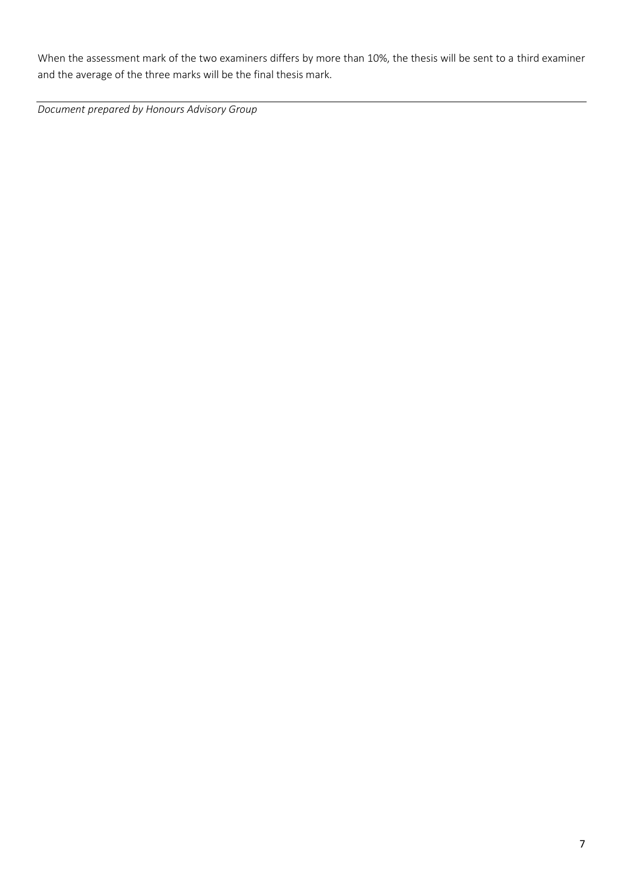When the assessment mark of the two examiners differs by more than 10%, the thesis will be sent to a third examiner and the average of the three marks will be the final thesis mark.

*Document prepared by Honours Advisory Group*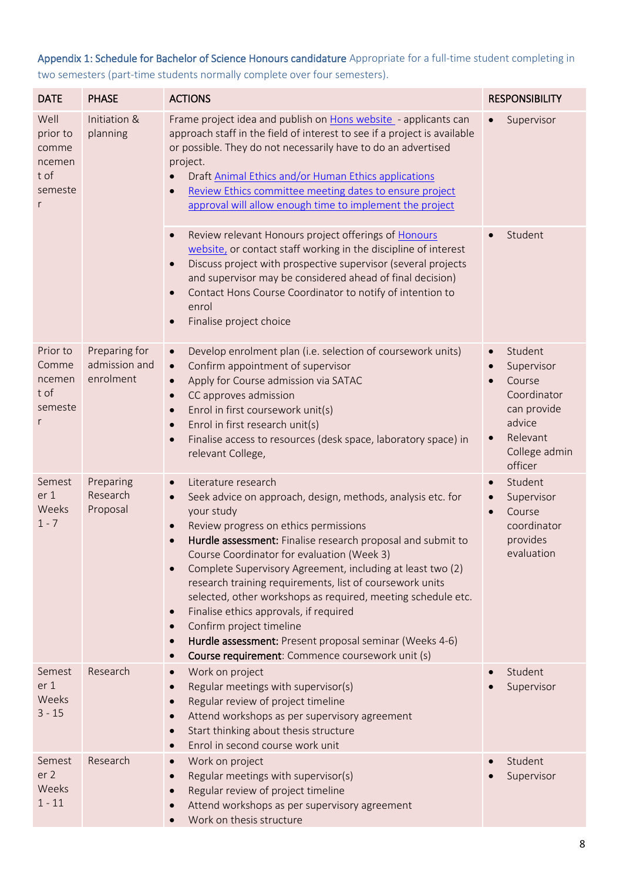# Appendix 1: Schedule for Bachelor of Science Honours candidature Appropriate for a full-time student completing in two semesters (part-time students normally complete over four semesters).

| <b>DATE</b>                                                 | <b>PHASE</b>                                | <b>ACTIONS</b>                                                                                                                                                                                                                                                                                                                                                                                                                                                                                                                                                                                                                                                                                                      | <b>RESPONSIBILITY</b>                                                                                                                                               |
|-------------------------------------------------------------|---------------------------------------------|---------------------------------------------------------------------------------------------------------------------------------------------------------------------------------------------------------------------------------------------------------------------------------------------------------------------------------------------------------------------------------------------------------------------------------------------------------------------------------------------------------------------------------------------------------------------------------------------------------------------------------------------------------------------------------------------------------------------|---------------------------------------------------------------------------------------------------------------------------------------------------------------------|
| Well<br>prior to<br>comme<br>ncemen<br>t of<br>semeste<br>r | Initiation &<br>planning                    | Frame project idea and publish on Hons website - applicants can<br>approach staff in the field of interest to see if a project is available<br>or possible. They do not necessarily have to do an advertised<br>project.<br>Draft Animal Ethics and/or Human Ethics applications<br>Review Ethics committee meeting dates to ensure project<br>approval will allow enough time to implement the project                                                                                                                                                                                                                                                                                                             | Supervisor                                                                                                                                                          |
|                                                             |                                             | Review relevant Honours project offerings of Honours<br>$\bullet$<br>website, or contact staff working in the discipline of interest<br>Discuss project with prospective supervisor (several projects<br>and supervisor may be considered ahead of final decision)<br>Contact Hons Course Coordinator to notify of intention to<br>enrol<br>Finalise project choice                                                                                                                                                                                                                                                                                                                                                 | Student                                                                                                                                                             |
| Prior to<br>Comme<br>ncemen<br>t of<br>semeste<br>r         | Preparing for<br>admission and<br>enrolment | Develop enrolment plan (i.e. selection of coursework units)<br>$\bullet$<br>Confirm appointment of supervisor<br>$\bullet$<br>Apply for Course admission via SATAC<br>$\bullet$<br>CC approves admission<br>$\bullet$<br>Enrol in first coursework unit(s)<br>$\bullet$<br>Enrol in first research unit(s)<br>Finalise access to resources (desk space, laboratory space) in<br>$\bullet$<br>relevant College,                                                                                                                                                                                                                                                                                                      | Student<br>$\bullet$<br>Supervisor<br>$\bullet$<br>Course<br>$\bullet$<br>Coordinator<br>can provide<br>advice<br>Relevant<br>$\bullet$<br>College admin<br>officer |
| Semest<br>er 1<br>Weeks<br>$1 - 7$                          | Preparing<br>Research<br>Proposal           | Literature research<br>$\bullet$<br>Seek advice on approach, design, methods, analysis etc. for<br>$\bullet$<br>your study<br>Review progress on ethics permissions<br>$\bullet$<br>Hurdle assessment: Finalise research proposal and submit to<br>Course Coordinator for evaluation (Week 3)<br>Complete Supervisory Agreement, including at least two (2)<br>$\bullet$<br>research training requirements, list of coursework units<br>selected, other workshops as required, meeting schedule etc.<br>Finalise ethics approvals, if required<br>$\bullet$<br>Confirm project timeline<br>$\bullet$<br>Hurdle assessment: Present proposal seminar (Weeks 4-6)<br>Course requirement: Commence coursework unit (s) | Student<br>$\bullet$<br>Supervisor<br>$\bullet$<br>Course<br>$\bullet$<br>coordinator<br>provides<br>evaluation                                                     |
| Semest<br>er 1<br>Weeks<br>$3 - 15$                         | Research                                    | Work on project<br>Regular meetings with supervisor(s)<br>Regular review of project timeline<br>$\bullet$<br>Attend workshops as per supervisory agreement<br>Start thinking about thesis structure<br>Enrol in second course work unit                                                                                                                                                                                                                                                                                                                                                                                                                                                                             | Student<br>Supervisor                                                                                                                                               |
| Semest<br>er 2<br>Weeks<br>$1 - 11$                         | Research                                    | Work on project<br>Regular meetings with supervisor(s)<br>Regular review of project timeline<br>Attend workshops as per supervisory agreement<br>Work on thesis structure                                                                                                                                                                                                                                                                                                                                                                                                                                                                                                                                           | Student<br>Supervisor                                                                                                                                               |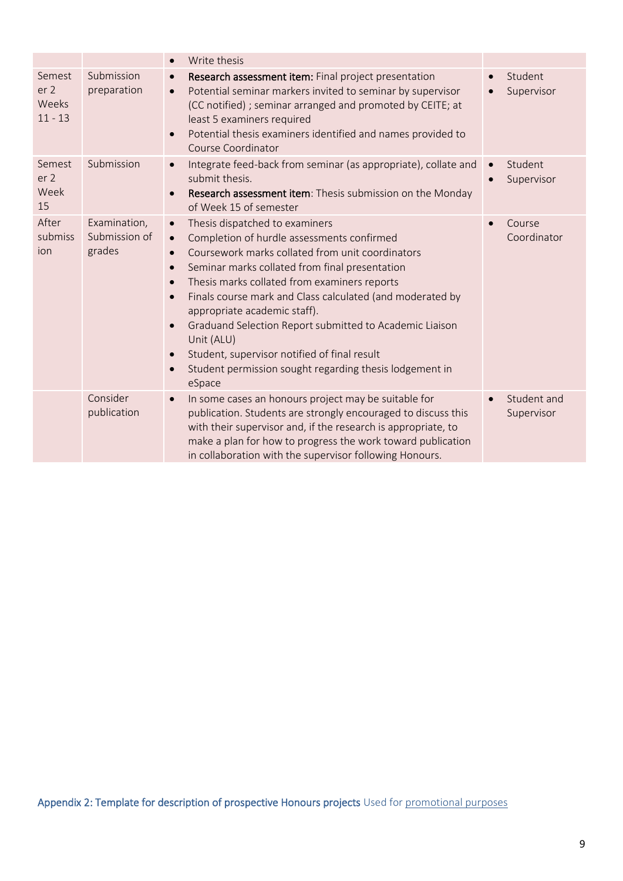|                                                 |                                         | Write thesis<br>$\bullet$                                                                                                                                                                                                                                                                                                                                                                                                                                                                                                                                                                                                                          |                                                 |
|-------------------------------------------------|-----------------------------------------|----------------------------------------------------------------------------------------------------------------------------------------------------------------------------------------------------------------------------------------------------------------------------------------------------------------------------------------------------------------------------------------------------------------------------------------------------------------------------------------------------------------------------------------------------------------------------------------------------------------------------------------------------|-------------------------------------------------|
| Semest<br>er <sub>2</sub><br>Weeks<br>$11 - 13$ | Submission<br>preparation               | Research assessment item: Final project presentation<br>$\bullet$<br>Potential seminar markers invited to seminar by supervisor<br>$\bullet$<br>(CC notified) ; seminar arranged and promoted by CEITE; at<br>least 5 examiners required<br>Potential thesis examiners identified and names provided to<br>$\bullet$<br>Course Coordinator                                                                                                                                                                                                                                                                                                         | Student<br>Supervisor<br>$\bullet$              |
| Semest<br>er <sub>2</sub><br>Week<br>15         | Submission                              | Integrate feed-back from seminar (as appropriate), collate and<br>$\bullet$<br>submit thesis.<br>Research assessment item: Thesis submission on the Monday<br>$\bullet$<br>of Week 15 of semester                                                                                                                                                                                                                                                                                                                                                                                                                                                  | Student<br>$\bullet$<br>Supervisor<br>$\bullet$ |
| After<br>submiss<br>ion                         | Examination,<br>Submission of<br>grades | Thesis dispatched to examiners<br>$\bullet$<br>Completion of hurdle assessments confirmed<br>$\bullet$<br>Coursework marks collated from unit coordinators<br>$\bullet$<br>Seminar marks collated from final presentation<br>$\bullet$<br>Thesis marks collated from examiners reports<br>$\bullet$<br>Finals course mark and Class calculated (and moderated by<br>$\bullet$<br>appropriate academic staff).<br>Graduand Selection Report submitted to Academic Liaison<br>$\bullet$<br>Unit (ALU)<br>Student, supervisor notified of final result<br>$\bullet$<br>Student permission sought regarding thesis lodgement in<br>$\bullet$<br>eSpace | Course<br>$\bullet$<br>Coordinator              |
|                                                 | Consider<br>publication                 | In some cases an honours project may be suitable for<br>$\bullet$<br>publication. Students are strongly encouraged to discuss this<br>with their supervisor and, if the research is appropriate, to<br>make a plan for how to progress the work toward publication<br>in collaboration with the supervisor following Honours.                                                                                                                                                                                                                                                                                                                      | Student and<br>$\bullet$<br>Supervisor          |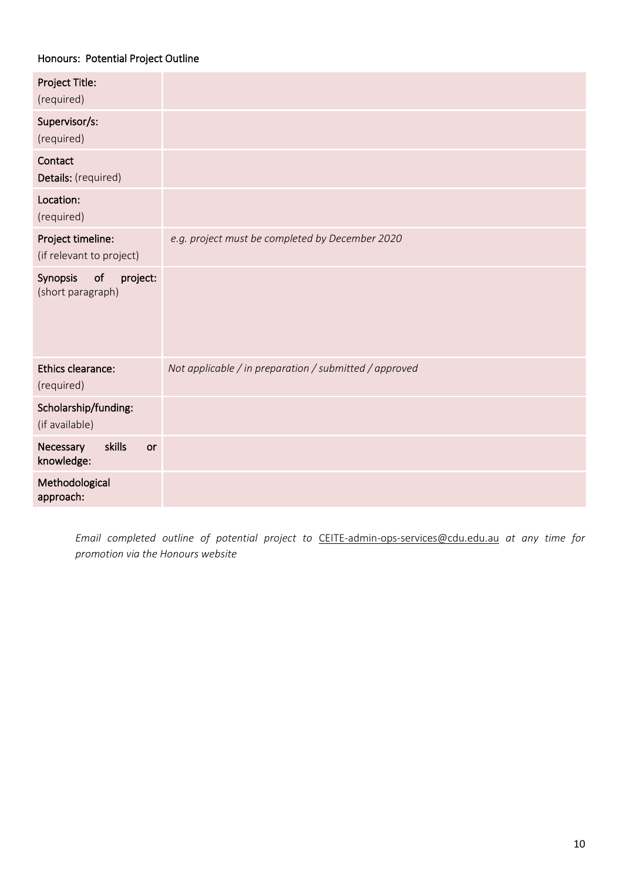# Honours: Potential Project Outline

| Project Title:<br>(required)                    |                                                        |
|-------------------------------------------------|--------------------------------------------------------|
| Supervisor/s:<br>(required)                     |                                                        |
| Contact<br>Details: (required)                  |                                                        |
| Location:<br>(required)                         |                                                        |
| Project timeline:<br>(if relevant to project)   | e.g. project must be completed by December 2020        |
| of<br>project:<br>Synopsis<br>(short paragraph) |                                                        |
| Ethics clearance:<br>(required)                 | Not applicable / in preparation / submitted / approved |
| Scholarship/funding:<br>(if available)          |                                                        |
| skills<br>Necessary<br>or<br>knowledge:         |                                                        |
| Methodological<br>approach:                     |                                                        |

*Email completed outline of potential project to* [CEITE-admin-ops-services@cdu.edu.au](mailto:CEITE-admin-ops-services@cdu.edu.au) *at any time for promotion via the Honours website*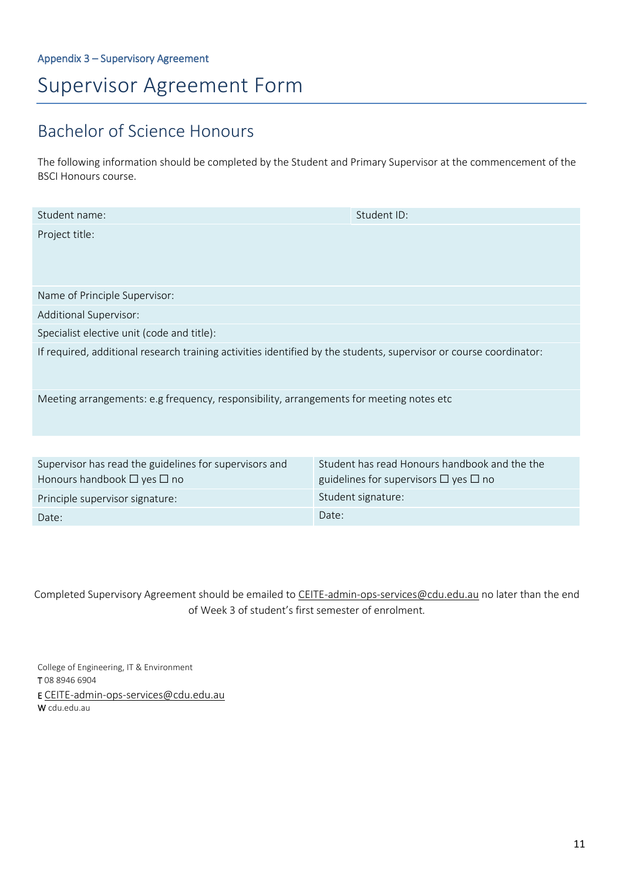# Supervisor Agreement Form

# Bachelor of Science Honours

The following information should be completed by the Student and Primary Supervisor at the commencement of the BSCI Honours course.

| Student name:                                                                                                      | Student ID:                                   |  |
|--------------------------------------------------------------------------------------------------------------------|-----------------------------------------------|--|
| Project title:                                                                                                     |                                               |  |
|                                                                                                                    |                                               |  |
|                                                                                                                    |                                               |  |
|                                                                                                                    |                                               |  |
| Name of Principle Supervisor:                                                                                      |                                               |  |
| Additional Supervisor:                                                                                             |                                               |  |
| Specialist elective unit (code and title):                                                                         |                                               |  |
| If required, additional research training activities identified by the students, supervisor or course coordinator: |                                               |  |
|                                                                                                                    |                                               |  |
|                                                                                                                    |                                               |  |
| Meeting arrangements: e.g frequency, responsibility, arrangements for meeting notes etc                            |                                               |  |
|                                                                                                                    |                                               |  |
|                                                                                                                    |                                               |  |
|                                                                                                                    |                                               |  |
| Supervisor has read the guidelines for supervisors and                                                             | Student has read Honours handbook and the the |  |

| <b>Sapervisor has read the guidemnes for sapervisors and</b> | <u>Stadent nas rega ribhbars nanabook and the the</u> |
|--------------------------------------------------------------|-------------------------------------------------------|
| Honours handbook $\Box$ yes $\Box$ no                        | guidelines for supervisors $\Box$ yes $\Box$ no       |
| Principle supervisor signature:                              | Student signature:                                    |
| Date:                                                        | Date:                                                 |

Completed Supervisory Agreement should be emailed to [CEITE-admin-ops-services@cdu.edu.au](mailto:CEITE-admin-ops-services@cdu.edu.au) no later than the end of Week 3 of student's first semester of enrolment*.*

College of Engineering, IT & Environment T 08 8946 6904 E [CEITE-admin-ops-services@cdu.edu.au](mailto:CEITE-admin-ops-services@cdu.edu.au) W cdu.edu.au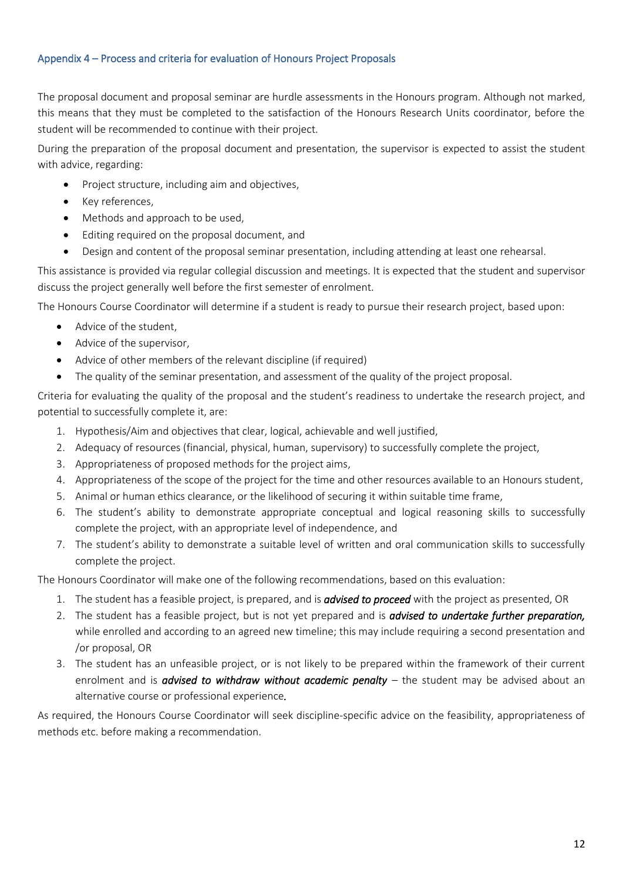# Appendix 4 – Process and criteria for evaluation of Honours Project Proposals

The proposal document and proposal seminar are hurdle assessments in the Honours program. Although not marked, this means that they must be completed to the satisfaction of the Honours Research Units coordinator, before the student will be recommended to continue with their project.

During the preparation of the proposal document and presentation, the supervisor is expected to assist the student with advice, regarding:

- Project structure, including aim and objectives,
- Key references,
- Methods and approach to be used,
- Editing required on the proposal document, and
- Design and content of the proposal seminar presentation, including attending at least one rehearsal.

This assistance is provided via regular collegial discussion and meetings. It is expected that the student and supervisor discuss the project generally well before the first semester of enrolment.

The Honours Course Coordinator will determine if a student is ready to pursue their research project, based upon:

- Advice of the student,
- Advice of the supervisor,
- Advice of other members of the relevant discipline (if required)
- The quality of the seminar presentation, and assessment of the quality of the project proposal.

Criteria for evaluating the quality of the proposal and the student's readiness to undertake the research project, and potential to successfully complete it, are:

- 1. Hypothesis/Aim and objectives that clear, logical, achievable and well justified,
- 2. Adequacy of resources (financial, physical, human, supervisory) to successfully complete the project,
- 3. Appropriateness of proposed methods for the project aims,
- 4. Appropriateness of the scope of the project for the time and other resources available to an Honours student,
- 5. Animal or human ethics clearance, or the likelihood of securing it within suitable time frame,
- 6. The student's ability to demonstrate appropriate conceptual and logical reasoning skills to successfully complete the project, with an appropriate level of independence, and
- 7. The student's ability to demonstrate a suitable level of written and oral communication skills to successfully complete the project.

The Honours Coordinator will make one of the following recommendations, based on this evaluation:

- 1. The student has a feasible project, is prepared, and is *advised to proceed* with the project as presented, OR
- 2. The student has a feasible project, but is not yet prepared and is *advised to undertake further preparation,*  while enrolled and according to an agreed new timeline; this may include requiring a second presentation and /or proposal, OR
- 3. The student has an unfeasible project, or is not likely to be prepared within the framework of their current enrolment and is *advised to withdraw without academic penalty –* the student may be advised about an alternative course or professional experience*.*

As required, the Honours Course Coordinator will seek discipline-specific advice on the feasibility, appropriateness of methods etc. before making a recommendation.